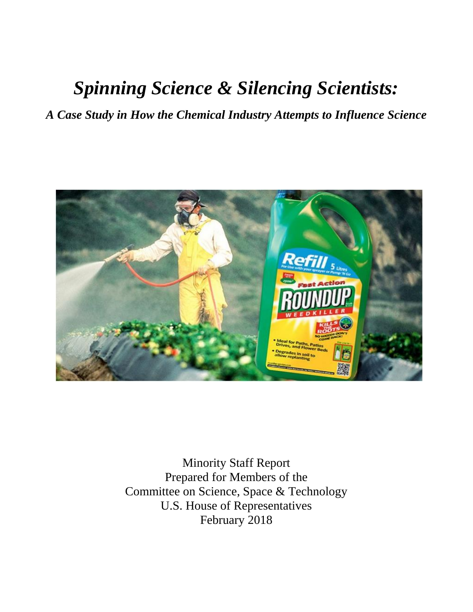# *Spinning Science & Silencing Scientists:*

*A Case Study in How the Chemical Industry Attempts to Influence Science*



Minority Staff Report Prepared for Members of the Committee on Science, Space & Technology U.S. House of Representatives February 2018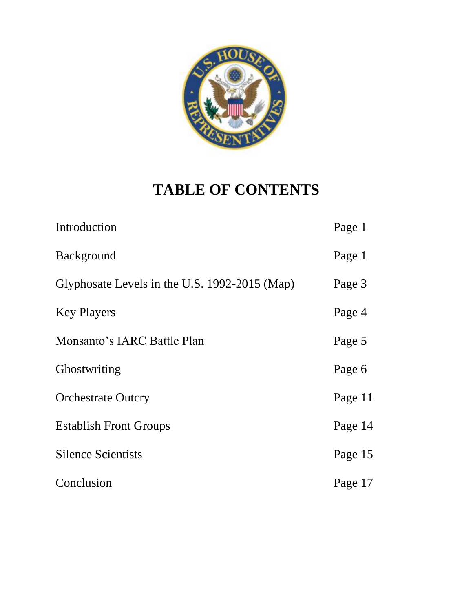

# **TABLE OF CONTENTS**

| Introduction                                  | Page 1  |
|-----------------------------------------------|---------|
| <b>Background</b>                             | Page 1  |
| Glyphosate Levels in the U.S. 1992-2015 (Map) | Page 3  |
| <b>Key Players</b>                            | Page 4  |
| Monsanto's IARC Battle Plan                   | Page 5  |
| Ghostwriting                                  | Page 6  |
| <b>Orchestrate Outcry</b>                     | Page 11 |
| <b>Establish Front Groups</b>                 | Page 14 |
| <b>Silence Scientists</b>                     | Page 15 |
| Conclusion                                    | Page 17 |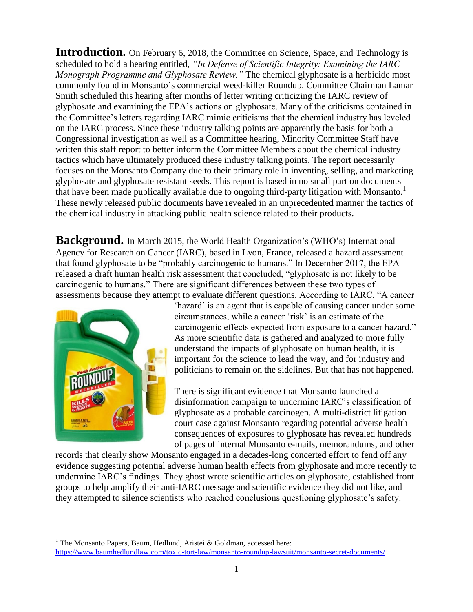**Introduction.** On February 6, 2018, the Committee on Science, Space, and Technology is scheduled to hold a hearing entitled, *"In Defense of Scientific Integrity: Examining the IARC Monograph Programme and Glyphosate Review."* The chemical glyphosate is a herbicide most commonly found in Monsanto's commercial weed-killer Roundup. Committee Chairman Lamar Smith scheduled this hearing after months of letter writing criticizing the IARC review of glyphosate and examining the EPA's actions on glyphosate. Many of the criticisms contained in the Committee's letters regarding IARC mimic criticisms that the chemical industry has leveled on the IARC process. Since these industry talking points are apparently the basis for both a Congressional investigation as well as a Committee hearing, Minority Committee Staff have written this staff report to better inform the Committee Members about the chemical industry tactics which have ultimately produced these industry talking points. The report necessarily focuses on the Monsanto Company due to their primary role in inventing, selling, and marketing glyphosate and glyphosate resistant seeds. This report is based in no small part on documents that have been made publically available due to ongoing third-party litigation with Monsanto.<sup>1</sup> These newly released public documents have revealed in an unprecedented manner the tactics of the chemical industry in attacking public health science related to their products.

**Background.** In March 2015, the World Health Organization's (WHO's) International Agency for Research on Cancer (IARC), based in Lyon, France, released a hazard assessment that found glyphosate to be "probably carcinogenic to humans." In December 2017, the EPA released a draft human health risk assessment that concluded, "glyphosate is not likely to be carcinogenic to humans." There are significant differences between these two types of assessments because they attempt to evaluate different questions. According to IARC, "A cancer



 $\overline{\phantom{a}}$ 

'hazard' is an agent that is capable of causing cancer under some circumstances, while a cancer 'risk' is an estimate of the carcinogenic effects expected from exposure to a cancer hazard." As more scientific data is gathered and analyzed to more fully understand the impacts of glyphosate on human health, it is important for the science to lead the way, and for industry and politicians to remain on the sidelines. But that has not happened.

There is significant evidence that Monsanto launched a disinformation campaign to undermine IARC's classification of glyphosate as a probable carcinogen. A multi-district litigation court case against Monsanto regarding potential adverse health consequences of exposures to glyphosate has revealed hundreds of pages of internal Monsanto e-mails, memorandums, and other

records that clearly show Monsanto engaged in a decades-long concerted effort to fend off any evidence suggesting potential adverse human health effects from glyphosate and more recently to undermine IARC's findings. They ghost wrote scientific articles on glyphosate, established front groups to help amplify their anti-IARC message and scientific evidence they did not like, and they attempted to silence scientists who reached conclusions questioning glyphosate's safety.

<sup>&</sup>lt;sup>1</sup> The Monsanto Papers, Baum, Hedlund, Aristei & Goldman, accessed here: <https://www.baumhedlundlaw.com/toxic-tort-law/monsanto-roundup-lawsuit/monsanto-secret-documents/>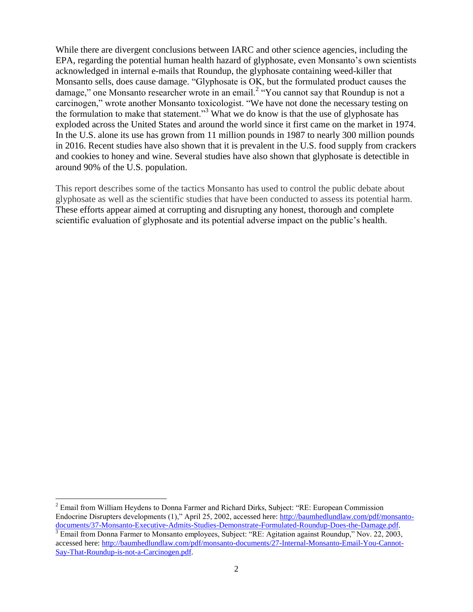While there are divergent conclusions between IARC and other science agencies, including the EPA, regarding the potential human health hazard of glyphosate, even Monsanto's own scientists acknowledged in internal e-mails that Roundup, the glyphosate containing weed-killer that Monsanto sells, does cause damage. "Glyphosate is OK, but the formulated product causes the damage," one Monsanto researcher wrote in an email.<sup>2</sup> "You cannot say that Roundup is not a carcinogen," wrote another Monsanto toxicologist. "We have not done the necessary testing on the formulation to make that statement."<sup>3</sup> What we do know is that the use of glyphosate has exploded across the United States and around the world since it first came on the market in 1974. In the U.S. alone its use has grown from 11 million pounds in 1987 to nearly 300 million pounds in 2016. Recent studies have also shown that it is prevalent in the U.S. food supply from crackers and cookies to honey and wine. Several studies have also shown that glyphosate is detectible in around 90% of the U.S. population.

This report describes some of the tactics Monsanto has used to control the public debate about glyphosate as well as the scientific studies that have been conducted to assess its potential harm. These efforts appear aimed at corrupting and disrupting any honest, thorough and complete scientific evaluation of glyphosate and its potential adverse impact on the public's health.

l

<sup>&</sup>lt;sup>2</sup> Email from William Heydens to Donna Farmer and Richard Dirks, Subject: "RE: European Commission Endocrine Disrupters developments (1)," April 25, 2002, accessed here: [http://baumhedlundlaw.com/pdf/monsanto](http://baumhedlundlaw.com/pdf/monsanto-documents/37-Monsanto-Executive-Admits-Studies-Demonstrate-Formulated-Roundup-Does-the-Damage.pdf)[documents/37-Monsanto-Executive-Admits-Studies-Demonstrate-Formulated-Roundup-Does-the-Damage.pdf.](http://baumhedlundlaw.com/pdf/monsanto-documents/37-Monsanto-Executive-Admits-Studies-Demonstrate-Formulated-Roundup-Does-the-Damage.pdf)

 $\overline{3}$  Email from Donna Farmer to Monsanto employees, Subject: "RE: Agitation against Roundup," Nov. 22, 2003, accessed here: [http://baumhedlundlaw.com/pdf/monsanto-documents/27-Internal-Monsanto-Email-You-Cannot-](http://baumhedlundlaw.com/pdf/monsanto-documents/27-Internal-Monsanto-Email-You-Cannot-Say-That-Roundup-is-not-a-Carcinogen.pdf)[Say-That-Roundup-is-not-a-Carcinogen.pdf.](http://baumhedlundlaw.com/pdf/monsanto-documents/27-Internal-Monsanto-Email-You-Cannot-Say-That-Roundup-is-not-a-Carcinogen.pdf)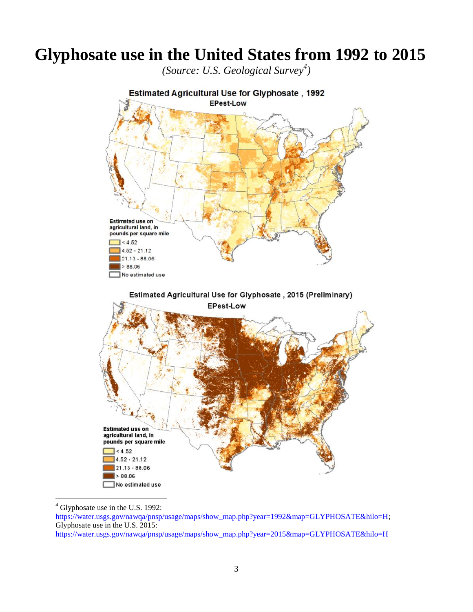## **Glyphosate use in the United States from 1992 to 2015**

*(Source: U.S. Geological Survey<sup>4</sup> )*



l  $4$  Glyphosate use in the U.S. 1992:

[https://water.usgs.gov/nawqa/pnsp/usage/maps/show\\_map.php?year=1992&map=GLYPHOSATE&hilo=H;](https://water.usgs.gov/nawqa/pnsp/usage/maps/show_map.php?year=1992&map=GLYPHOSATE&hilo=H) Glyphosate use in the U.S. 2015: [https://water.usgs.gov/nawqa/pnsp/usage/maps/show\\_map.php?year=2015&map=GLYPHOSATE&hilo=H](https://water.usgs.gov/nawqa/pnsp/usage/maps/show_map.php?year=2015&map=GLYPHOSATE&hilo=H)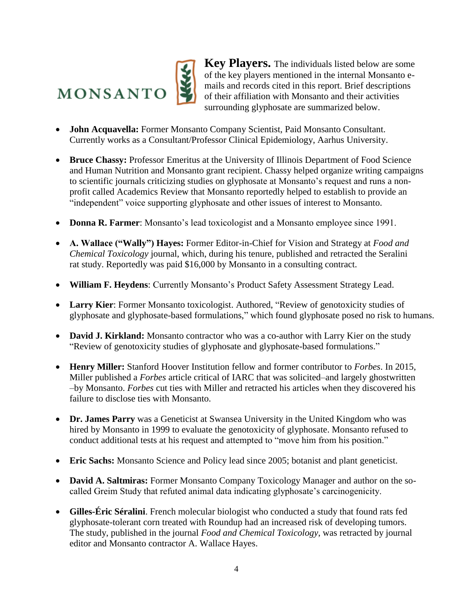

**Key Players.** The individuals listed below are some of the key players mentioned in the internal Monsanto emails and records cited in this report. Brief descriptions of their affiliation with Monsanto and their activities surrounding glyphosate are summarized below.

- **John Acquavella:** Former Monsanto Company Scientist, Paid Monsanto Consultant. Currently works as a Consultant/Professor Clinical Epidemiology, Aarhus University.
- **Bruce Chassy:** Professor Emeritus at the University of Illinois Department of Food Science and Human Nutrition and Monsanto grant recipient. Chassy helped organize writing campaigns to scientific journals criticizing studies on glyphosate at Monsanto's request and runs a nonprofit called Academics Review that Monsanto reportedly helped to establish to provide an "independent" voice supporting glyphosate and other issues of interest to Monsanto.
- **Donna R. Farmer**: Monsanto's lead toxicologist and a Monsanto employee since 1991.
- **A. Wallace ("Wally") Hayes:** Former Editor-in-Chief for Vision and Strategy at *Food and Chemical Toxicology* journal, which, during his tenure, published and retracted the Seralini rat study. Reportedly was paid \$16,000 by Monsanto in a consulting contract.
- **William F. Heydens**: Currently Monsanto's Product Safety Assessment Strategy Lead.
- **Larry Kier**: Former Monsanto toxicologist. Authored, "Review of genotoxicity studies of glyphosate and glyphosate-based formulations," which found glyphosate posed no risk to humans.
- **David J. Kirkland:** Monsanto contractor who was a co-author with Larry Kier on the study "Review of genotoxicity studies of glyphosate and glyphosate-based formulations."
- **Henry Miller:** Stanford Hoover Institution fellow and former contributor to *Forbes*. In 2015, Miller published a *Forbes* article critical of IARC that was solicited–and largely ghostwritten –by Monsanto. *Forbes* cut ties with Miller and retracted his articles when they discovered his failure to disclose ties with Monsanto.
- **Dr. James Parry** was a Geneticist at Swansea University in the United Kingdom who was hired by Monsanto in 1999 to evaluate the genotoxicity of glyphosate. Monsanto refused to conduct additional tests at his request and attempted to "move him from his position."
- **Eric Sachs:** Monsanto Science and Policy lead since 2005; botanist and plant geneticist.
- **David A. Saltmiras:** Former Monsanto Company Toxicology Manager and author on the socalled Greim Study that refuted animal data indicating glyphosate's carcinogenicity.
- **Gilles-Éric Séralini**. French molecular biologist who conducted a study that found rats fed glyphosate-tolerant corn treated with Roundup had an increased risk of developing tumors. The study, published in the journal *Food and Chemical Toxicology*, was retracted by journal editor and Monsanto contractor A. Wallace Hayes.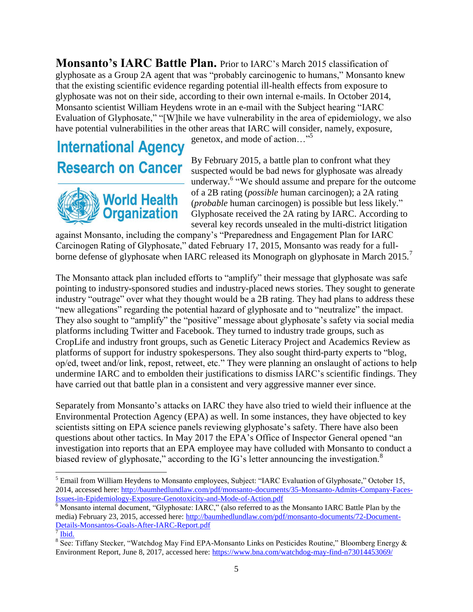**Monsanto's IARC Battle Plan.** Prior to IARC's March 2015 classification of glyphosate as a Group 2A agent that was "probably carcinogenic to humans," Monsanto knew that the existing scientific evidence regarding potential ill-health effects from exposure to glyphosate was not on their side, according to their own internal e-mails. In October 2014, Monsanto scientist William Heydens wrote in an e-mail with the Subject hearing "IARC Evaluation of Glyphosate," "[W]hile we have vulnerability in the area of epidemiology, we also have potential vulnerabilities in the other areas that IARC will consider, namely, exposure,

## **International Agency Research on Cancer**



genetox, and mode of action…"<sup>5</sup>

By February 2015, a battle plan to confront what they suspected would be bad news for glyphosate was already underway.<sup>6</sup> "We should assume and prepare for the outcome of a 2B rating (*possible* human carcinogen); a 2A rating (*probable* human carcinogen) is possible but less likely." Glyphosate received the 2A rating by IARC. According to several key records unsealed in the multi-district litigation

against Monsanto, including the company's "Preparedness and Engagement Plan for IARC Carcinogen Rating of Glyphosate," dated February 17, 2015, Monsanto was ready for a fullborne defense of glyphosate when IARC released its Monograph on glyphosate in March 2015.<sup>7</sup>

The Monsanto attack plan included efforts to "amplify" their message that glyphosate was safe pointing to industry-sponsored studies and industry-placed news stories. They sought to generate industry "outrage" over what they thought would be a 2B rating. They had plans to address these "new allegations" regarding the potential hazard of glyphosate and to "neutralize" the impact. They also sought to "amplify" the "positive" message about glyphosate's safety via social media platforms including Twitter and Facebook. They turned to industry trade groups, such as CropLife and industry front groups, such as Genetic Literacy Project and Academics Review as platforms of support for industry spokespersons. They also sought third-party experts to "blog, op/ed, tweet and/or link, repost, retweet, etc." They were planning an onslaught of actions to help undermine IARC and to embolden their justifications to dismiss IARC's scientific findings. They have carried out that battle plan in a consistent and very aggressive manner ever since.

Separately from Monsanto's attacks on IARC they have also tried to wield their influence at the Environmental Protection Agency (EPA) as well. In some instances, they have objected to key scientists sitting on EPA science panels reviewing glyphosate's safety. There have also been questions about other tactics. In May 2017 the EPA's Office of Inspector General opened "an investigation into reports that an EPA employee may have colluded with Monsanto to conduct a biased review of glyphosate," according to the IG's letter announcing the investigation.<sup>8</sup>

 $\overline{\phantom{a}}$ 

<sup>&</sup>lt;sup>5</sup> Email from William Heydens to Monsanto employees, Subject: "IARC Evaluation of Glyphosate," October 15, 2014, accessed here: [http://baumhedlundlaw.com/pdf/monsanto-documents/35-Monsanto-Admits-Company-Faces-](http://baumhedlundlaw.com/pdf/monsanto-documents/35-Monsanto-Admits-Company-Faces-Issues-in-Epidemiology-Exposure-Genotoxicity-and-Mode-of-Action.pdf)[Issues-in-Epidemiology-Exposure-Genotoxicity-and-Mode-of-Action.pdf](http://baumhedlundlaw.com/pdf/monsanto-documents/35-Monsanto-Admits-Company-Faces-Issues-in-Epidemiology-Exposure-Genotoxicity-and-Mode-of-Action.pdf)

<sup>6</sup> Monsanto internal document, "Glyphosate: IARC," (also referred to as the Monsanto IARC Battle Plan by the media) February 23, 2015, accessed here: [http://baumhedlundlaw.com/pdf/monsanto-documents/72-Document-](http://baumhedlundlaw.com/pdf/monsanto-documents/72-Document-Details-Monsantos-Goals-After-IARC-Report.pdf)[Details-Monsantos-Goals-After-IARC-Report.pdf](http://baumhedlundlaw.com/pdf/monsanto-documents/72-Document-Details-Monsantos-Goals-After-IARC-Report.pdf)

<sup>7</sup> [Ibid.](https://www.baumhedlundlaw.com/toxic-tort-law/monsanto-roundup-lawsuit/monsanto-secret-documents/)

 $8 \overline{\text{See}}$ : Tiffany Stecker, "Watchdog May Find EPA-Monsanto Links on Pesticides Routine," Bloomberg Energy & Environment Report, June 8, 2017, accessed here[: https://www.bna.com/watchdog-may-find-n73014453069/](https://www.bna.com/watchdog-may-find-n73014453069/)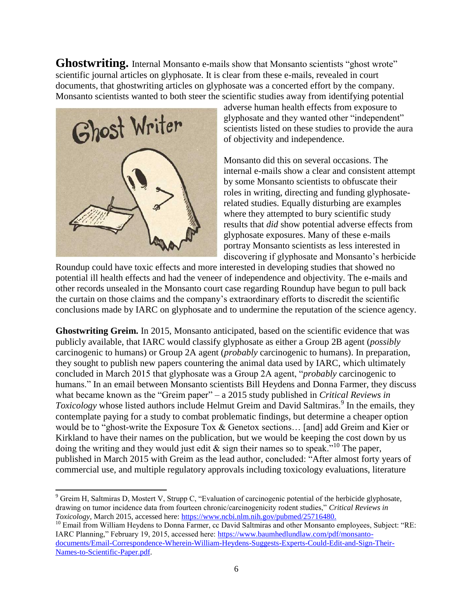**Ghostwriting.** Internal Monsanto e-mails show that Monsanto scientists "ghost wrote" scientific journal articles on glyphosate. It is clear from these e-mails, revealed in court documents, that ghostwriting articles on glyphosate was a concerted effort by the company. Monsanto scientists wanted to both steer the scientific studies away from identifying potential



 $\overline{\phantom{a}}$ 

adverse human health effects from exposure to glyphosate and they wanted other "independent" scientists listed on these studies to provide the aura of objectivity and independence.

Monsanto did this on several occasions. The internal e-mails show a clear and consistent attempt by some Monsanto scientists to obfuscate their roles in writing, directing and funding glyphosaterelated studies. Equally disturbing are examples where they attempted to bury scientific study results that *did* show potential adverse effects from glyphosate exposures. Many of these e-mails portray Monsanto scientists as less interested in discovering if glyphosate and Monsanto's herbicide

Roundup could have toxic effects and more interested in developing studies that showed no potential ill health effects and had the veneer of independence and objectivity. The e-mails and other records unsealed in the Monsanto court case regarding Roundup have begun to pull back the curtain on those claims and the company's extraordinary efforts to discredit the scientific conclusions made by IARC on glyphosate and to undermine the reputation of the science agency.

**Ghostwriting Greim.** In 2015, Monsanto anticipated, based on the scientific evidence that was publicly available, that IARC would classify glyphosate as either a Group 2B agent (*possibly* carcinogenic to humans) or Group 2A agent (*probably* carcinogenic to humans). In preparation, they sought to publish new papers countering the animal data used by IARC, which ultimately concluded in March 2015 that glyphosate was a Group 2A agent, "*probably* carcinogenic to humans." In an email between Monsanto scientists Bill Heydens and Donna Farmer, they discuss what became known as the "Greim paper" – a 2015 study published in *Critical Reviews in Toxicology* whose listed authors include Helmut Greim and David Saltmiras.<sup>9</sup> In the emails, they contemplate paying for a study to combat problematic findings, but determine a cheaper option would be to "ghost-write the Exposure Tox & Genetox sections… [and] add Greim and Kier or Kirkland to have their names on the publication, but we would be keeping the cost down by us doing the writing and they would just edit  $\&$  sign their names so to speak.<sup>"10</sup> The paper, published in March 2015 with Greim as the lead author, concluded: "After almost forty years of commercial use, and multiple regulatory approvals including toxicology evaluations, literature

<sup>9</sup> Greim H, Saltmiras D, Mostert V, Strupp C, "Evaluation of carcinogenic potential of the herbicide glyphosate, drawing on tumor incidence data from fourteen chronic/carcinogenicity rodent studies," *Critical Reviews in Toxicology*, March 2015, accessed here: [https://www.ncbi.nlm.nih.gov/pubmed/25716480.](https://www.ncbi.nlm.nih.gov/pubmed/25716480)

<sup>&</sup>lt;sup>10</sup> Email from William Heydens to Donna Farmer, cc David Saltmiras and other Monsanto employees, Subject: "RE: IARC Planning," February 19, 2015, accessed here: [https://www.baumhedlundlaw.com/pdf/monsanto](https://www.baumhedlundlaw.com/pdf/monsanto-documents/Email-Correspondence-Wherein-William-Heydens-Suggests-Experts-Could-Edit-and-Sign-Their-Names-to-Scientific-Paper.pdf)[documents/Email-Correspondence-Wherein-William-Heydens-Suggests-Experts-Could-Edit-and-Sign-Their-](https://www.baumhedlundlaw.com/pdf/monsanto-documents/Email-Correspondence-Wherein-William-Heydens-Suggests-Experts-Could-Edit-and-Sign-Their-Names-to-Scientific-Paper.pdf)[Names-to-Scientific-Paper.pdf.](https://www.baumhedlundlaw.com/pdf/monsanto-documents/Email-Correspondence-Wherein-William-Heydens-Suggests-Experts-Could-Edit-and-Sign-Their-Names-to-Scientific-Paper.pdf)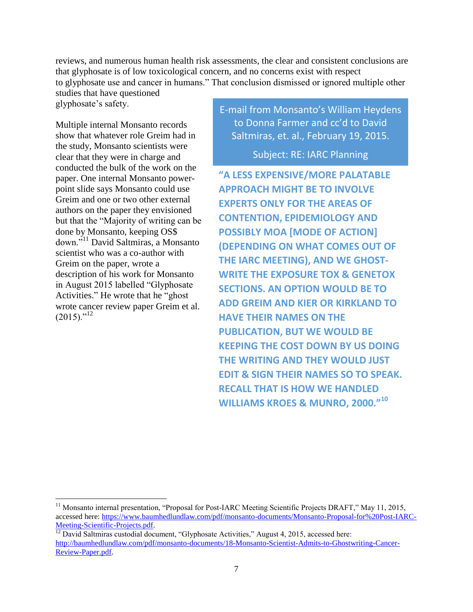reviews, and numerous human health risk assessments, the clear and consistent conclusions are that glyphosate is of low toxicological concern, and no concerns exist with respect to glyphosate use and cancer in humans." That conclusion dismissed or ignored multiple other

studies that have questioned glyphosate's safety.

Multiple internal Monsanto records show that whatever role Greim had in the study, Monsanto scientists were clear that they were in charge and conducted the bulk of the work on the paper. One internal Monsanto powerpoint slide says Monsanto could use Greim and one or two other external authors on the paper they envisioned but that the "Majority of writing can be done by Monsanto, keeping OS\$ down."<sup>11</sup> David Saltmiras, a Monsanto scientist who was a co-author with Greim on the paper, wrote a description of his work for Monsanto in August 2015 labelled "Glyphosate Activities." He wrote that he "ghost wrote cancer review paper Greim et al.  $(2015)$ ."<sup>12</sup>

l

E-mail from Monsanto's William Heydens to Donna Farmer and cc'd to David Saltmiras, et. al., February 19, 2015.

Subject: RE: IARC Planning

**"A LESS EXPENSIVE/MORE PALATABLE APPROACH MIGHT BE TO INVOLVE EXPERTS ONLY FOR THE AREAS OF CONTENTION, EPIDEMIOLOGY AND POSSIBLY MOA [MODE OF ACTION] (DEPENDING ON WHAT COMES OUT OF THE IARC MEETING), AND WE GHOST-WRITE THE EXPOSURE TOX & GENETOX SECTIONS. AN OPTION WOULD BE TO ADD GREIM AND KIER OR KIRKLAND TO HAVE THEIR NAMES ON THE PUBLICATION, BUT WE WOULD BE KEEPING THE COST DOWN BY US DOING THE WRITING AND THEY WOULD JUST EDIT & SIGN THEIR NAMES SO TO SPEAK. RECALL THAT IS HOW WE HANDLED WILLIAMS KROES & MUNRO, 2000."<sup>10</sup>**

<sup>&</sup>lt;sup>11</sup> Monsanto internal presentation, "Proposal for Post-IARC Meeting Scientific Projects DRAFT," May 11, 2015, accessed here: [https://www.baumhedlundlaw.com/pdf/monsanto-documents/Monsanto-Proposal-for%20Post-IARC-](https://www.baumhedlundlaw.com/pdf/monsanto-documents/Monsanto-Proposal-for%20Post-IARC-Meeting-Scientific-Projects.pdf)Meeting-Scientific-Projects.pdf.

<sup>&</sup>lt;sup>12</sup> David Saltmiras custodial document, "Glyphosate Activities," August 4, 2015, accessed here: [http://baumhedlundlaw.com/pdf/monsanto-documents/18-Monsanto-Scientist-Admits-to-Ghostwriting-Cancer-](http://baumhedlundlaw.com/pdf/monsanto-documents/18-Monsanto-Scientist-Admits-to-Ghostwriting-Cancer-Review-Paper.pdf)[Review-Paper.pdf.](http://baumhedlundlaw.com/pdf/monsanto-documents/18-Monsanto-Scientist-Admits-to-Ghostwriting-Cancer-Review-Paper.pdf)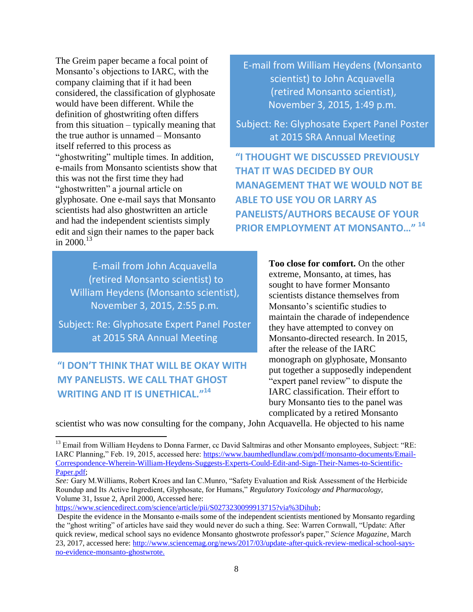The Greim paper became a focal point of Monsanto's objections to IARC, with the company claiming that if it had been considered, the classification of glyphosate would have been different. While the definition of ghostwriting often differs from this situation – typically meaning that the true author is unnamed – Monsanto itself referred to this process as "ghostwriting" multiple times. In addition, e-mails from Monsanto scientists show that this was not the first time they had "ghostwritten" a journal article on glyphosate. One e-mail says that Monsanto scientists had also ghostwritten an article and had the independent scientists simply edit and sign their names to the paper back in  $2000^{13}$ 

E-mail from John Acquavella (retired Monsanto scientist) to William Heydens (Monsanto scientist), November 3, 2015, 2:55 p.m.

Subject: Re: Glyphosate Expert Panel Poster at 2015 SRA Annual Meeting

### **"I DON'T THINK THAT WILL BE OKAY WITH MY PANELISTS. WE CALL THAT GHOST WRITING AND IT IS UNETHICAL."<sup>14</sup>**

 $\overline{\phantom{a}}$ 

E-mail from William Heydens (Monsanto scientist) to John Acquavella (retired Monsanto scientist), November 3, 2015, 1:49 p.m.

Subject: Re: Glyphosate Expert Panel Poster at 2015 SRA Annual Meeting

**"I THOUGHT WE DISCUSSED PREVIOUSLY THAT IT WAS DECIDED BY OUR MANAGEMENT THAT WE WOULD NOT BE ABLE TO USE YOU OR LARRY AS PANELISTS/AUTHORS BECAUSE OF YOUR PRIOR EMPLOYMENT AT MONSANTO…" <sup>14</sup>**

> **Too close for comfort.** On the other extreme, Monsanto, at times, has sought to have former Monsanto scientists distance themselves from Monsanto's scientific studies to maintain the charade of independence they have attempted to convey on Monsanto-directed research. In 2015, after the release of the IARC monograph on glyphosate, Monsanto put together a supposedly independent "expert panel review" to dispute the IARC classification. Their effort to bury Monsanto ties to the panel was complicated by a retired Monsanto

scientist who was now consulting for the company, John Acquavella. He objected to his name

<sup>&</sup>lt;sup>13</sup> Email from William Heydens to Donna Farmer, cc David Saltmiras and other Monsanto employees, Subject: "RE: IARC Planning," Feb. 19, 2015, accessed here: [https://www.baumhedlundlaw.com/pdf/monsanto-documents/Email-](https://www.baumhedlundlaw.com/pdf/monsanto-documents/Email-Correspondence-Wherein-William-Heydens-Suggests-Experts-Could-Edit-and-Sign-Their-Names-to-Scientific-Paper.pdf)[Correspondence-Wherein-William-Heydens-Suggests-Experts-Could-Edit-and-Sign-Their-Names-to-Scientific-](https://www.baumhedlundlaw.com/pdf/monsanto-documents/Email-Correspondence-Wherein-William-Heydens-Suggests-Experts-Could-Edit-and-Sign-Their-Names-to-Scientific-Paper.pdf)[Paper.pdf;](https://www.baumhedlundlaw.com/pdf/monsanto-documents/Email-Correspondence-Wherein-William-Heydens-Suggests-Experts-Could-Edit-and-Sign-Their-Names-to-Scientific-Paper.pdf)

*See:* Gary M.Williams, Robert Kroes and Ian C.Munro, "Safety Evaluation and Risk Assessment of the Herbicide Roundup and Its Active Ingredient, Glyphosate, for Humans," *Regulatory Toxicology and Pharmacology,*  Volume 31, Issue 2, April 2000, Accessed here:

[https://www.sciencedirect.com/science/article/pii/S0273230099913715?via%3Dihub;](https://www.sciencedirect.com/science/article/pii/S0273230099913715?via%3Dihub)

Despite the evidence in the Monsanto e-mails some of the independent scientists mentioned by Monsanto regarding the "ghost writing" of articles have said they would never do such a thing. See: Warren Cornwall, "Update: After quick review, medical school says no evidence Monsanto ghostwrote professor's paper," *Science Magazine*, March 23, 2017, accessed here: [http://www.sciencemag.org/news/2017/03/update-after-quick-review-medical-school-says](http://www.sciencemag.org/news/2017/03/update-after-quick-review-medical-school-says-no-evidence-monsanto-ghostwrote)[no-evidence-monsanto-ghostwrote.](http://www.sciencemag.org/news/2017/03/update-after-quick-review-medical-school-says-no-evidence-monsanto-ghostwrote)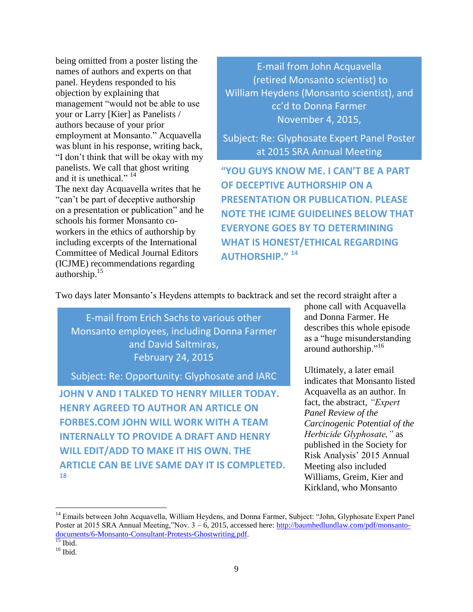being omitted from a poster listing the names of authors and experts on that panel. Heydens responded to his objection by explaining that management "would not be able to use your or Larry [Kier] as Panelists / authors because of your prior employment at Monsanto." Acquavella was blunt in his response, writing back, "I don't think that will be okay with my panelists. We call that ghost writing and it is unethical "<sup>14</sup> The next day Acquavella writes that he "can't be part of deceptive authorship on a presentation or publication" and he schools his former Monsanto co-

workers in the ethics of authorship by including excerpts of the International Committee of Medical Journal Editors (ICJME) recommendations regarding authorship.<sup>15</sup>

E-mail from John Acquavella (retired Monsanto scientist) to William Heydens (Monsanto scientist), and cc'd to Donna Farmer November 4, 2015,

Subject: Re: Glyphosate Expert Panel Poster at 2015 SRA Annual Meeting

**"YOU GUYS KNOW ME. I CAN'T BE A PART OF DECEPTIVE AUTHORSHIP ON A PRESENTATION OR PUBLICATION. PLEASE NOTE THE ICJME GUIDELINES BELOW THAT EVERYONE GOES BY TO DETERMINING WHAT IS HONEST/ETHICAL REGARDING AUTHORSHIP." <sup>14</sup>**

Two days later Monsanto's Heydens attempts to backtrack and set the record straight after a

E-mail from Erich Sachs to various other Monsanto employees, including Donna Farmer and David Saltmiras, February 24, 2015

Subject: Re: Opportunity: Glyphosate and IARC

**JOHN V AND I TALKED TO HENRY MILLER TODAY. HENRY AGREED TO AUTHOR AN ARTICLE ON FORBES.COM JOHN WILL WORK WITH A TEAM INTERNALLY TO PROVIDE A DRAFT AND HENRY WILL EDIT/ADD TO MAKE IT HIS OWN. THE ARTICLE CAN BE LIVE SAME DAY IT IS COMPLETED. 18**

phone call with Acquavella and Donna Farmer. He describes this whole episode as a "huge misunderstanding around authorship."<sup>16</sup>

Ultimately, a later email indicates that Monsanto listed Acquavella as an author. In fact, the abstract, *"Expert Panel Review of the Carcinogenic Potential of the Herbicide Glyphosate,"* as published in the Society for Risk Analysis' 2015 Annual Meeting also included Williams, Greim, Kier and Kirkland, who Monsanto

 $\overline{a}$ 

<sup>&</sup>lt;sup>14</sup> Emails between John Acquavella, William Heydens, and Donna Farmer, Subject: "John, Glyphosate Expert Panel Poster at 2015 SRA Annual Meeting,"Nov. 3 – 6, 2015, accessed here: [http://baumhedlundlaw.com/pdf/monsanto](http://baumhedlundlaw.com/pdf/monsanto-documents/6-Monsanto-Consultant-Protests-Ghostwriting.pdf)[documents/6-Monsanto-Consultant-Protests-Ghostwriting.pdf.](http://baumhedlundlaw.com/pdf/monsanto-documents/6-Monsanto-Consultant-Protests-Ghostwriting.pdf)

 $15$  Ibid.

 $16$  Ibid.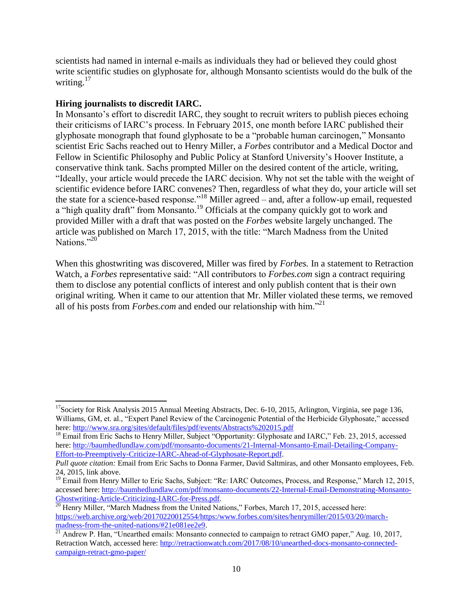scientists had named in internal e-mails as individuals they had or believed they could ghost write scientific studies on glyphosate for, although Monsanto scientists would do the bulk of the writing. $17$ 

#### **Hiring journalists to discredit IARC.**

In Monsanto's effort to discredit IARC, they sought to recruit writers to publish pieces echoing their criticisms of IARC's process. In February 2015, one month before IARC published their glyphosate monograph that found glyphosate to be a "probable human carcinogen," Monsanto scientist Eric Sachs reached out to Henry Miller, a *Forbes* contributor and a Medical Doctor and Fellow in Scientific Philosophy and Public Policy at Stanford University's Hoover Institute, a conservative think tank. Sachs prompted Miller on the desired content of the article, writing, "Ideally, your article would precede the IARC decision. Why not set the table with the weight of scientific evidence before IARC convenes? Then, regardless of what they do, your article will set the state for a science-based response."<sup>18</sup> Miller agreed – and, after a follow-up email, requested a "high quality draft" from Monsanto.<sup>19</sup> Officials at the company quickly got to work and provided Miller with a draft that was posted on the *Forbes* website largely unchanged. The article was published on March 17, 2015, with the title: "March Madness from the United Nations<sup>"20"</sup>

When this ghostwriting was discovered, Miller was fired by *Forbes.* In a statement to Retraction Watch, a *Forbes* representative said: "All contributors to *Forbes.com* sign a contract requiring them to disclose any potential conflicts of interest and only publish content that is their own original writing. When it came to our attention that Mr. Miller violated these terms, we removed all of his posts from *Forbes.com* and ended our relationship with him."<sup>21</sup>

 $\overline{\phantom{a}}$ <sup>17</sup>Society for Risk Analysis 2015 Annual Meeting Abstracts, Dec. 6-10, 2015, Arlington, Virginia, see page 136, Williams, GM, et. al., "Expert Panel Review of the Carcinogenic Potential of the Herbicide Glyphosate," accessed here:<http://www.sra.org/sites/default/files/pdf/events/Abstracts%202015.pdf>

<sup>&</sup>lt;sup>18</sup> Email from Eric Sachs to Henry Miller, Subject "Opportunity: Glyphosate and IARC," Feb. 23, 2015, accessed here: [http://baumhedlundlaw.com/pdf/monsanto-documents/21-Internal-Monsanto-Email-Detailing-Company-](http://baumhedlundlaw.com/pdf/monsanto-documents/21-Internal-Monsanto-Email-Detailing-Company-Effort-to-Preemptively-Criticize-IARC-Ahead-of-Glyphosate-Report.pdf)[Effort-to-Preemptively-Criticize-IARC-Ahead-of-Glyphosate-Report.pdf.](http://baumhedlundlaw.com/pdf/monsanto-documents/21-Internal-Monsanto-Email-Detailing-Company-Effort-to-Preemptively-Criticize-IARC-Ahead-of-Glyphosate-Report.pdf)

*Pull quote citation:* Email from Eric Sachs to Donna Farmer, David Saltmiras, and other Monsanto employees, Feb. 24, 2015, link above.

<sup>&</sup>lt;sup>19</sup> Email from Henry Miller to Eric Sachs, Subject: "Re: IARC Outcomes, Process, and Response," March 12, 2015, accessed here: [http://baumhedlundlaw.com/pdf/monsanto-documents/22-Internal-Email-Demonstrating-Monsanto-](http://baumhedlundlaw.com/pdf/monsanto-documents/22-Internal-Email-Demonstrating-Monsanto-Ghostwriting-Article-Criticizing-IARC-for-Press.pdf)[Ghostwriting-Article-Criticizing-IARC-for-Press.pdf.](http://baumhedlundlaw.com/pdf/monsanto-documents/22-Internal-Email-Demonstrating-Monsanto-Ghostwriting-Article-Criticizing-IARC-for-Press.pdf) 

<sup>&</sup>lt;sup>20</sup> Henry Miller, "March Madness from the United Nations," Forbes, March 17, 2015, accessed here: [https://web.archive.org/web/20170220012554/https:/www.forbes.com/sites/henrymiller/2015/03/20/march](https://web.archive.org/web/20170220012554/https:/www.forbes.com/sites/henrymiller/2015/03/20/march-madness-from-the-united-nations/#21e081ee2e9)[madness-from-the-united-nations/#21e081ee2e9.](https://web.archive.org/web/20170220012554/https:/www.forbes.com/sites/henrymiller/2015/03/20/march-madness-from-the-united-nations/#21e081ee2e9)

<sup>&</sup>lt;sup>21</sup> Andrew P. Han, "Unearthed emails: Monsanto connected to campaign to retract GMO paper," Aug. 10, 2017, Retraction Watch, accessed here: [http://retractionwatch.com/2017/08/10/unearthed-docs-monsanto-connected](http://retractionwatch.com/2017/08/10/unearthed-docs-monsanto-connected-campaign-retract-gmo-paper/)[campaign-retract-gmo-paper/](http://retractionwatch.com/2017/08/10/unearthed-docs-monsanto-connected-campaign-retract-gmo-paper/)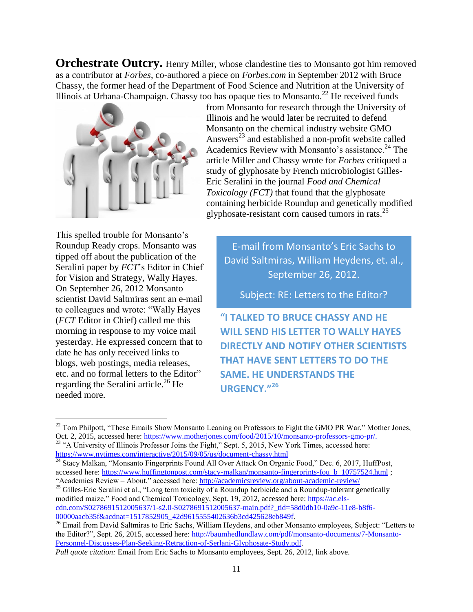**Orchestrate Outcry.** Henry Miller, whose clandestine ties to Monsanto got him removed as a contributor at *Forbes*, co-authored a piece on *Forbes.com* in September 2012 with Bruce Chassy, the former head of the Department of Food Science and Nutrition at the University of Illinois at Urbana-Champaign. Chassy too has opaque ties to Monsanto.<sup>22</sup> He received funds



This spelled trouble for Monsanto's Roundup Ready crops. Monsanto was tipped off about the publication of the Seralini paper by *FCT*'s Editor in Chief for Vision and Strategy, Wally Hayes. On September 26, 2012 Monsanto scientist David Saltmiras sent an e-mail to colleagues and wrote: "Wally Hayes (*FCT* Editor in Chief) called me this morning in response to my voice mail yesterday. He expressed concern that to date he has only received links to blogs, web postings, media releases, etc. and no formal letters to the Editor" regarding the Seralini article.<sup>26</sup> He needed more.

l

from Monsanto for research through the University of Illinois and he would later be recruited to defend Monsanto on the chemical industry website GMO Answers<sup>23</sup> and established a non-profit website called Academics Review with Monsanto's assistance.<sup>24</sup> The article Miller and Chassy wrote for *Forbes* critiqued a study of glyphosate by French microbiologist Gilles-Eric Seralini in the journal *Food and Chemical Toxicology (FCT)* that found that the glyphosate containing herbicide Roundup and genetically modified glyphosate-resistant corn caused tumors in rats.<sup>25</sup>

E-mail from Monsanto's Eric Sachs to David Saltmiras, William Heydens, et. al., September 26, 2012.

Subject: RE: Letters to the Editor?

**"I TALKED TO BRUCE CHASSY AND HE WILL SEND HIS LETTER TO WALLY HAYES DIRECTLY AND NOTIFY OTHER SCIENTISTS THAT HAVE SENT LETTERS TO DO THE SAME. HE UNDERSTANDS THE URGENCY."<sup>26</sup>**

 $22$  Tom Philpott, "These Emails Show Monsanto Leaning on Professors to Fight the GMO PR War," Mother Jones, Oct. 2, 2015, accessed here: [https://www.motherjones.com/food/2015/10/monsanto-professors-gmo-pr/.](https://www.motherjones.com/food/2015/10/monsanto-professors-gmo-pr/) <sup>23</sup> "A University of Illinois Professor Joins the Fight," Sept. 5, 2015, New York Times, accessed here:

<https://www.nytimes.com/interactive/2015/09/05/us/document-chassy.html> <sup>24</sup> Stacy Malkan, "Monsanto Fingerprints Found All Over Attack On Organic Food," Dec. 6, 2017, HuffPost,

accessed here: https://www.huffingtonpost.com/stacy-malkan/monsanto-fingerprints-fou b 10757524.html ; "Academics Review – About," accessed here:<http://academicsreview.org/about-academic-review/>

<sup>&</sup>lt;sup>25</sup> Gilles-Eric Seralini et al., "Long term toxicity of a Roundup herbicide and a Roundup-tolerant genetically modified maize," Food and Chemical Toxicology, Sept. 19, 2012, accessed here[: https://ac.els](https://ac.els-cdn.com/S0278691512005637/1-s2.0-S0278691512005637-main.pdf?_tid=58d0db10-0a9c-11e8-b8f6-00000aacb35f&acdnat=1517852905_42d9615555402636b3cd425628eb849f)[cdn.com/S0278691512005637/1-s2.0-S0278691512005637-main.pdf?\\_tid=58d0db10-0a9c-11e8-b8f6-](https://ac.els-cdn.com/S0278691512005637/1-s2.0-S0278691512005637-main.pdf?_tid=58d0db10-0a9c-11e8-b8f6-00000aacb35f&acdnat=1517852905_42d9615555402636b3cd425628eb849f) 00000aacb35f&acdnat=1517852905\_42d9615555402636b3cd425628eb849f.

<sup>&</sup>lt;sup>26</sup> Email from David Saltmiras to Eric Sachs, William Heydens, and other Monsanto employees, Subject: "Letters to the Editor?", Sept. 26, 2015, accessed here: [http://baumhedlundlaw.com/pdf/monsanto-documents/7-Monsanto-](http://baumhedlundlaw.com/pdf/monsanto-documents/7-Monsanto-Personnel-Discusses-Plan-Seeking-Retraction-of-Serlani-Glyphosate-Study.pdf)[Personnel-Discusses-Plan-Seeking-Retraction-of-Serlani-Glyphosate-Study.pdf.](http://baumhedlundlaw.com/pdf/monsanto-documents/7-Monsanto-Personnel-Discusses-Plan-Seeking-Retraction-of-Serlani-Glyphosate-Study.pdf)

*Pull quote citation:* Email from Eric Sachs to Monsanto employees, Sept. 26, 2012, link above.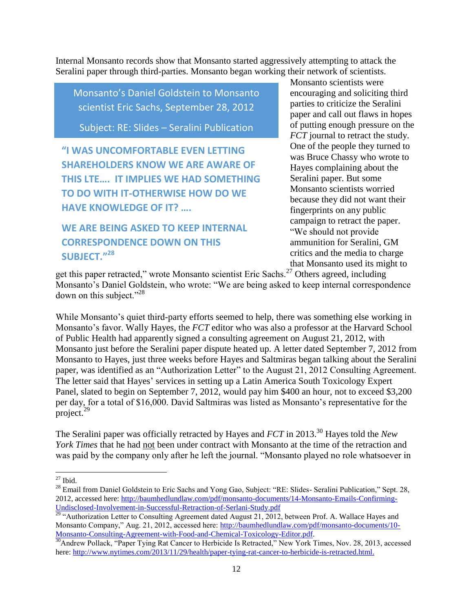Internal Monsanto records show that Monsanto started aggressively attempting to attack the Seralini paper through third-parties. Monsanto began working their network of scientists.

Monsanto's Daniel Goldstein to Monsanto scientist Eric Sachs, September 28, 2012

Subject: RE: Slides – Seralini Publication

**"I WAS UNCOMFORTABLE EVEN LETTING SHAREHOLDERS KNOW WE ARE AWARE OF THIS LTE…. IT IMPLIES WE HAD SOMETHING TO DO WITH IT-OTHERWISE HOW DO WE HAVE KNOWLEDGE OF IT? ….**

### **WE ARE BEING ASKED TO KEEP INTERNAL CORRESPONDENCE DOWN ON THIS SUBJECT."<sup>28</sup>**

Monsanto scientists were encouraging and soliciting third parties to criticize the Seralini paper and call out flaws in hopes of putting enough pressure on the *FCT* journal to retract the study. One of the people they turned to was Bruce Chassy who wrote to Hayes complaining about the Seralini paper. But some Monsanto scientists worried because they did not want their fingerprints on any public campaign to retract the paper. "We should not provide ammunition for Seralini, GM critics and the media to charge that Monsanto used its might to

get this paper retracted," wrote Monsanto scientist Eric Sachs.<sup>27</sup> Others agreed, including Monsanto's Daniel Goldstein, who wrote: "We are being asked to keep internal correspondence down on this subject."<sup>28</sup>

While Monsanto's quiet third-party efforts seemed to help, there was something else working in Monsanto's favor. Wally Hayes, the *FCT* editor who was also a professor at the Harvard School of Public Health had apparently signed a consulting agreement on August 21, 2012, with Monsanto just before the Seralini paper dispute heated up. A letter dated September 7, 2012 from Monsanto to Hayes, just three weeks before Hayes and Saltmiras began talking about the Seralini paper, was identified as an "Authorization Letter" to the August 21, 2012 Consulting Agreement. The letter said that Hayes' services in setting up a Latin America South Toxicology Expert Panel, slated to begin on September 7, 2012, would pay him \$400 an hour, not to exceed \$3,200 per day, for a total of \$16,000. David Saltmiras was listed as Monsanto's representative for the project.<sup>29</sup>

The Seralini paper was officially retracted by Hayes and *FCT* in 2013.<sup>30</sup> Hayes told the *New York Times* that he had not been under contract with Monsanto at the time of the retraction and was paid by the company only after he left the journal. "Monsanto played no role whatsoever in

 $\overline{\phantom{a}}$  $27$  Ibid.

<sup>&</sup>lt;sup>28</sup> Email from Daniel Goldstein to Eric Sachs and Yong Gao, Subject: "RE: Slides- Seralini Publication," Sept. 28, 2012, accessed here: [http://baumhedlundlaw.com/pdf/monsanto-documents/14-Monsanto-Emails-Confirming-](http://baumhedlundlaw.com/pdf/monsanto-documents/14-Monsanto-Emails-Confirming-Undisclosed-Involvement-in-Successful-Retraction-of-Serlani-Study.pdf)[Undisclosed-Involvement-in-Successful-Retraction-of-Serlani-Study.pdf](http://baumhedlundlaw.com/pdf/monsanto-documents/14-Monsanto-Emails-Confirming-Undisclosed-Involvement-in-Successful-Retraction-of-Serlani-Study.pdf)

 $29$  "Authorization Letter to Consulting Agreement dated August 21, 2012, between Prof. A. Wallace Hayes and Monsanto Company," Aug. 21, 2012, accessed here: [http://baumhedlundlaw.com/pdf/monsanto-documents/10-](http://baumhedlundlaw.com/pdf/monsanto-documents/10-Monsanto-Consulting-Agreement-with-Food-and-Chemical-Toxicology-Editor.pdf) [Monsanto-Consulting-Agreement-with-Food-and-Chemical-Toxicology-Editor.pdf.](http://baumhedlundlaw.com/pdf/monsanto-documents/10-Monsanto-Consulting-Agreement-with-Food-and-Chemical-Toxicology-Editor.pdf)

<sup>&</sup>lt;sup>30</sup>Andrew Pollack, "Paper Tying Rat Cancer to Herbicide Is Retracted," New York Times, Nov. 28, 2013, accessed here: [http://www.nytimes.com/2013/11/29/health/paper-tying-rat-cancer-to-herbicide-is-retracted.html.](http://www.nytimes.com/2013/11/29/health/paper-tying-rat-cancer-to-herbicide-is-retracted.html)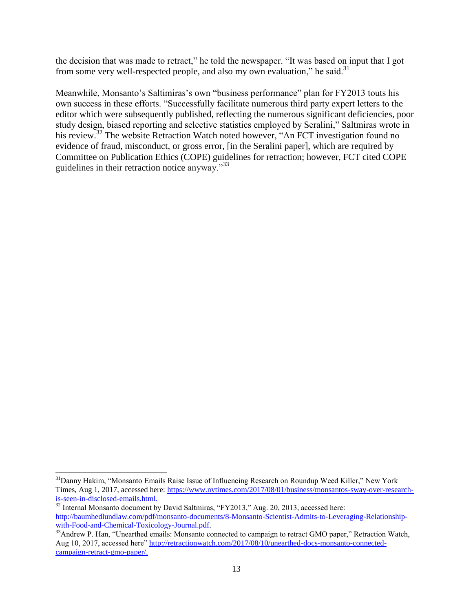the decision that was made to retract," he told the newspaper. "It was based on input that I got from some very well-respected people, and also my own evaluation," he said. $31$ 

Meanwhile, Monsanto's Saltimiras's own "business performance" plan for FY2013 touts his own success in these efforts. "Successfully facilitate numerous third party expert letters to the editor which were subsequently published, reflecting the numerous significant deficiencies, poor study design, biased reporting and selective statistics employed by Seralini," Saltmiras wrote in his review.<sup>32</sup> The website Retraction Watch noted however, "An FCT investigation found no evidence of fraud, misconduct, or gross error, [in the Seralini paper], which are required by Committee on Publication Ethics (COPE) guidelines for retraction; however, FCT cited COPE guidelines in their [retraction notice](http://www.sciencedirect.com/science/article/pii/S0278691512005637) anyway."<sup>33</sup>

 $\overline{\phantom{a}}$ 

<sup>&</sup>lt;sup>31</sup>Danny Hakim, "Monsanto Emails Raise Issue of Influencing Research on Roundup Weed Killer," New York Times, Aug 1, 2017, accessed here: [https://www.nytimes.com/2017/08/01/business/monsantos-sway-over-research](https://www.nytimes.com/2017/08/01/business/monsantos-sway-over-research-is-seen-in-disclosed-emails.html)[is-seen-in-disclosed-emails.html.](https://www.nytimes.com/2017/08/01/business/monsantos-sway-over-research-is-seen-in-disclosed-emails.html)

 $32$  Internal Monsanto document by David Saltmiras, "FY2013," Aug. 20, 2013, accessed here: [http://baumhedlundlaw.com/pdf/monsanto-documents/8-Monsanto-Scientist-Admits-to-Leveraging-Relationship](http://baumhedlundlaw.com/pdf/monsanto-documents/8-Monsanto-Scientist-Admits-to-Leveraging-Relationship-with-Food-and-Chemical-Toxicology-Journal.pdf)[with-Food-and-Chemical-Toxicology-Journal.pdf.](http://baumhedlundlaw.com/pdf/monsanto-documents/8-Monsanto-Scientist-Admits-to-Leveraging-Relationship-with-Food-and-Chemical-Toxicology-Journal.pdf)

<sup>&</sup>lt;sup>33</sup>Andrew P. Han, "Unearthed emails: Monsanto connected to campaign to retract GMO paper," Retraction Watch, Aug 10, 2017, accessed here" [http://retractionwatch.com/2017/08/10/unearthed-docs-monsanto-connected](http://retractionwatch.com/2017/08/10/unearthed-docs-monsanto-connected-campaign-retract-gmo-paper/)[campaign-retract-gmo-paper/.](http://retractionwatch.com/2017/08/10/unearthed-docs-monsanto-connected-campaign-retract-gmo-paper/)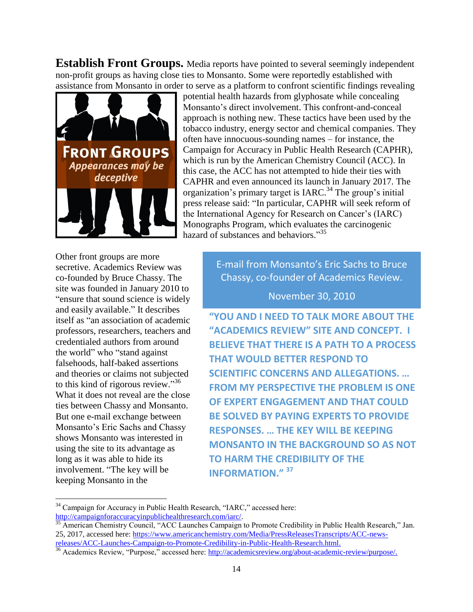**Establish Front Groups.** Media reports have pointed to several seemingly independent non-profit groups as having close ties to Monsanto. Some were reportedly established with assistance from Monsanto in order to serve as a platform to confront scientific findings revealing



potential health hazards from glyphosate while concealing Monsanto's direct involvement. This confront-and-conceal approach is nothing new. These tactics have been used by the tobacco industry, energy sector and chemical companies. They often have innocuous-sounding names – for instance, the Campaign for Accuracy in Public Health Research (CAPHR), which is run by the American Chemistry Council (ACC). In this case, the ACC has not attempted to hide their ties with CAPHR and even announced its launch in January 2017. The organization's primary target is  $IARC<sup>34</sup>$  The group's initial press release said: "In particular, CAPHR will seek reform of the International Agency for Research on Cancer's (IARC) Monographs Program, which evaluates the carcinogenic hazard of substances and behaviors." 35

Other front groups are more secretive. Academics Review was co-founded by Bruce Chassy. The site was founded in January 2010 to "ensure that sound science is widely and easily available." It describes itself as "an association of academic professors, researchers, teachers and credentialed authors from around the world" who "stand against falsehoods, half-baked assertions and theories or claims not subjected to this kind of rigorous review."36 What it does not reveal are the close ties between Chassy and Monsanto. But one e-mail exchange between Monsanto's Eric Sachs and Chassy shows Monsanto was interested in using the site to its advantage as long as it was able to hide its involvement. "The key will be keeping Monsanto in the

l

E-mail from Monsanto's Eric Sachs to Bruce Chassy, co-founder of Academics Review.

November 30, 2010

**"YOU AND I NEED TO TALK MORE ABOUT THE "ACADEMICS REVIEW" SITE AND CONCEPT. I BELIEVE THAT THERE IS A PATH TO A PROCESS THAT WOULD BETTER RESPOND TO SCIENTIFIC CONCERNS AND ALLEGATIONS. … FROM MY PERSPECTIVE THE PROBLEM IS ONE OF EXPERT ENGAGEMENT AND THAT COULD BE SOLVED BY PAYING EXPERTS TO PROVIDE RESPONSES. … THE KEY WILL BE KEEPING MONSANTO IN THE BACKGROUND SO AS NOT TO HARM THE CREDIBILITY OF THE INFORMATION." <sup>37</sup>**

<sup>&</sup>lt;sup>34</sup> Campaign for Accuracy in Public Health Research, "IARC," accessed here: [http://campaignforaccuracyinpublichealthresearch.com/iarc/.](http://campaignforaccuracyinpublichealthresearch.com/iarc/)

<sup>&</sup>lt;sup>35</sup> American Chemistry Council, "ACC Launches Campaign to Promote Credibility in Public Health Research," Jan. 25, 2017, accessed here: [https://www.americanchemistry.com/Media/PressReleasesTranscripts/ACC-news](https://www.americanchemistry.com/Media/PressReleasesTranscripts/ACC-news-releases/ACC-Launches-Campaign-to-Promote-Credibility-in-Public-Health-Research.html)[releases/ACC-Launches-Campaign-to-Promote-Credibility-in-Public-Health-Research.html.](https://www.americanchemistry.com/Media/PressReleasesTranscripts/ACC-news-releases/ACC-Launches-Campaign-to-Promote-Credibility-in-Public-Health-Research.html)

<sup>&</sup>lt;sup>36</sup> Academics Review, "Purpose," accessed here: [http://academicsreview.org/about-academic-review/purpose/.](http://academicsreview.org/about-academic-review/purpose/)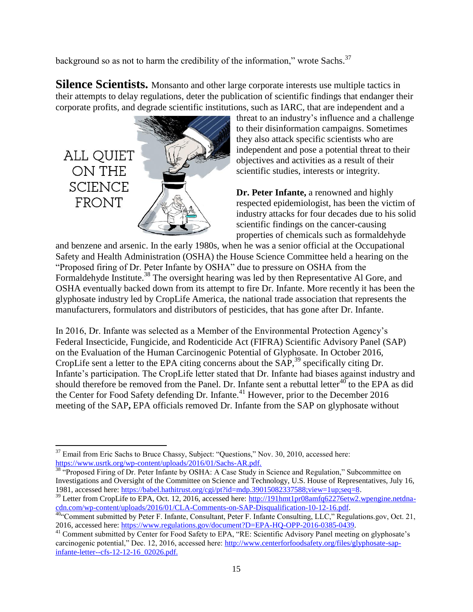background so as not to harm the credibility of the information," wrote Sachs. $37$ 

**Silence Scientists.** Monsanto and other large corporate interests use multiple tactics in their attempts to delay regulations, deter the publication of scientific findings that endanger their corporate profits, and degrade scientific institutions, such as IARC, that are independent and a



threat to an industry's influence and a challenge to their disinformation campaigns. Sometimes they also attack specific scientists who are independent and pose a potential threat to their objectives and activities as a result of their scientific studies, interests or integrity.

**Dr. Peter Infante,** a renowned and highly respected epidemiologist, has been the victim of industry attacks for four decades due to his solid scientific findings on the cancer-causing properties of chemicals such as formaldehyde

and benzene and arsenic. In the early 1980s, when he was a senior official at the Occupational Safety and Health Administration (OSHA) the House Science Committee held a hearing on the "Proposed firing of Dr. Peter Infante by OSHA" due to pressure on OSHA from the Formaldehyde Institute.<sup>38</sup> The oversight hearing was led by then Representative Al Gore, and OSHA eventually backed down from its attempt to fire Dr. Infante. More recently it has been the glyphosate industry led by CropLife America, the national trade association that represents the manufacturers, formulators and distributors of pesticides, that has gone after Dr. Infante.

In 2016, Dr. Infante was selected as a Member of the Environmental Protection Agency's Federal Insecticide, Fungicide, and Rodenticide Act (FIFRA) Scientific Advisory Panel (SAP) on the Evaluation of the Human Carcinogenic Potential of Glyphosate. In October 2016, CropLife sent a letter to the EPA citing concerns about the SAP,<sup>39</sup> specifically citing Dr. Infante's participation. The CropLife letter stated that Dr. Infante had biases against industry and should therefore be removed from the Panel. Dr. Infante sent a rebuttal letter<sup>40</sup> to the EPA as did the Center for Food Safety defending Dr. Infante.<sup>41</sup> However, prior to the December 2016 meeting of the SAP**,** EPA officials removed Dr. Infante from the SAP on glyphosate without

 $\overline{a}$  $37$  Email from Eric Sachs to Bruce Chassy, Subject: "Questions," Nov. 30, 2010, accessed here: [https://www.usrtk.org/wp-content/uploads/2016/01/Sachs-AR.pdf.](https://www.usrtk.org/wp-content/uploads/2016/01/Sachs-AR.pdf)

<sup>&</sup>lt;sup>38</sup> "Proposed Firing of Dr. Peter Infante by OSHA: A Case Study in Science and Regulation," Subcommittee on Investigations and Oversight of the Committee on Science and Technology, U.S. House of Representatives, July 16, 1981, accessed here: [https://babel.hathitrust.org/cgi/pt?id=mdp.39015082337588;view=1up;seq=8.](https://babel.hathitrust.org/cgi/pt?id=mdp.39015082337588;view=1up;seq=8)

<sup>&</sup>lt;sup>39</sup> Letter from CropLife to EPA, Oct. 12, 2016, accessed here: [http://191hmt1pr08amfq62276etw2.wpengine.netdna](http://191hmt1pr08amfq62276etw2.wpengine.netdna-cdn.com/wp-content/uploads/2016/01/CLA-Comments-on-SAP-Disqualification-10-12-16.pdf)[cdn.com/wp-content/uploads/2016/01/CLA-Comments-on-SAP-Disqualification-10-12-16.pdf.](http://191hmt1pr08amfq62276etw2.wpengine.netdna-cdn.com/wp-content/uploads/2016/01/CLA-Comments-on-SAP-Disqualification-10-12-16.pdf)

<sup>40&</sup>lt;sup>404</sup>Comment submitted by Peter F. Infante, Consultant, Peter F. Infante Consulting, LLC," Regulations.gov, Oct. 21, 2016, accessed here: [https://www.regulations.gov/document?D=EPA-HQ-OPP-2016-0385-0439.](https://www.regulations.gov/document?D=EPA-HQ-OPP-2016-0385-0439)

<sup>&</sup>lt;sup>41</sup> Comment submitted by Center for Food Safety to EPA, "RE: Scientific Advisory Panel meeting on glyphosate's carcinogenic potential," Dec. 12, 2016, accessed here: [http://www.centerforfoodsafety.org/files/glyphosate-sap](http://www.centerforfoodsafety.org/files/glyphosate-sap-infante-letter--cfs-12-12-16_02026.pdf)[infante-letter--cfs-12-12-16\\_02026.pdf.](http://www.centerforfoodsafety.org/files/glyphosate-sap-infante-letter--cfs-12-12-16_02026.pdf)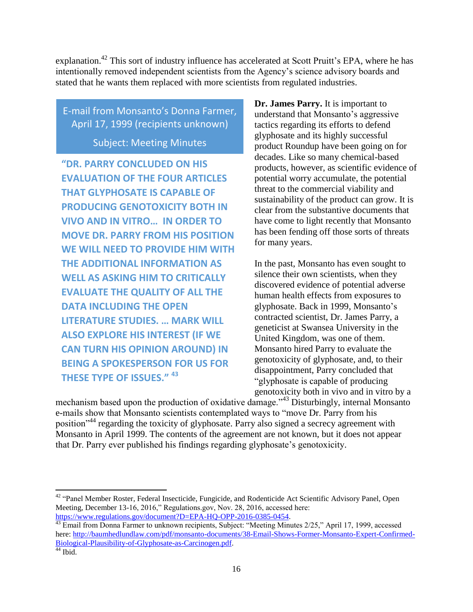explanation.<sup>42</sup> This sort of industry influence has accelerated at Scott Pruitt's EPA, where he has intentionally removed independent scientists from the Agency's science advisory boards and stated that he wants them replaced with more scientists from regulated industries.

E-mail from Monsanto's Donna Farmer, April 17, 1999 (recipients unknown)

Subject: Meeting Minutes

**"DR. PARRY CONCLUDED ON HIS EVALUATION OF THE FOUR ARTICLES THAT GLYPHOSATE IS CAPABLE OF PRODUCING GENOTOXICITY BOTH IN VIVO AND IN VITRO… IN ORDER TO MOVE DR. PARRY FROM HIS POSITION WE WILL NEED TO PROVIDE HIM WITH THE ADDITIONAL INFORMATION AS WELL AS ASKING HIM TO CRITICALLY EVALUATE THE QUALITY OF ALL THE DATA INCLUDING THE OPEN LITERATURE STUDIES. … MARK WILL ALSO EXPLORE HIS INTEREST (IF WE CAN TURN HIS OPINION AROUND) IN BEING A SPOKESPERSON FOR US FOR THESE TYPE OF ISSUES." <sup>43</sup>**

**Dr. James Parry.** It is important to understand that Monsanto's aggressive tactics regarding its efforts to defend glyphosate and its highly successful product Roundup have been going on for decades. Like so many chemical-based products, however, as scientific evidence of potential worry accumulate, the potential threat to the commercial viability and sustainability of the product can grow. It is clear from the substantive documents that have come to light recently that Monsanto has been fending off those sorts of threats for many years.

In the past, Monsanto has even sought to silence their own scientists, when they discovered evidence of potential adverse human health effects from exposures to glyphosate. Back in 1999, Monsanto's contracted scientist, Dr. James Parry, a geneticist at Swansea University in the United Kingdom, was one of them. Monsanto hired Parry to evaluate the genotoxicity of glyphosate, and, to their disappointment, Parry concluded that "glyphosate is capable of producing genotoxicity both in vivo and in vitro by a

mechanism based upon the production of oxidative damage."<sup>43</sup> Disturbingly, internal Monsanto e-mails show that Monsanto scientists contemplated ways to "move Dr. Parry from his position"<sup>44</sup> regarding the toxicity of glyphosate. Parry also signed a secrecy agreement with Monsanto in April 1999. The contents of the agreement are not known, but it does not appear that Dr. Parry ever published his findings regarding glyphosate's genotoxicity.

 $\overline{\phantom{a}}$ 

<sup>&</sup>lt;sup>42</sup> "Panel Member Roster, Federal Insecticide, Fungicide, and Rodenticide Act Scientific Advisory Panel, Open Meeting, December 13-16, 2016," Regulations.gov, Nov. 28, 2016, accessed here: [https://www.regulations.gov/document?D=EPA-HQ-OPP-2016-0385-0454.](https://www.regulations.gov/document?D=EPA-HQ-OPP-2016-0385-0454)

<sup>&</sup>lt;sup>43</sup> Email from Donna Farmer to unknown recipients, Subject: "Meeting Minutes 2/25," April 17, 1999, accessed here: [http://baumhedlundlaw.com/pdf/monsanto-documents/38-Email-Shows-Former-Monsanto-Expert-Confirmed-](http://baumhedlundlaw.com/pdf/monsanto-documents/38-Email-Shows-Former-Monsanto-Expert-Confirmed-Biological-Plausibility-of-Glyphosate-as-Carcinogen.pdf)[Biological-Plausibility-of-Glyphosate-as-Carcinogen.pdf.](http://baumhedlundlaw.com/pdf/monsanto-documents/38-Email-Shows-Former-Monsanto-Expert-Confirmed-Biological-Plausibility-of-Glyphosate-as-Carcinogen.pdf)

 $44$  Ibid.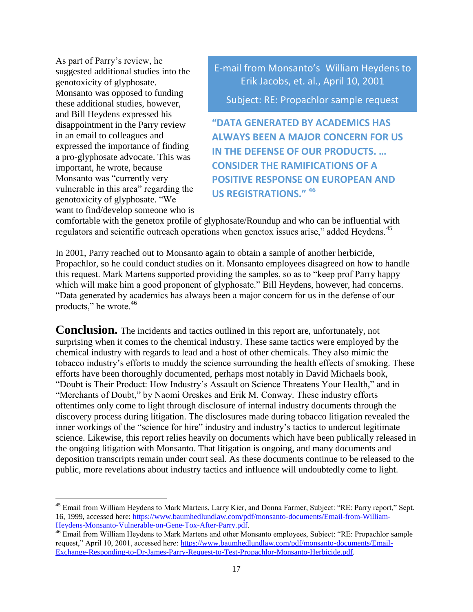As part of Parry's review, he suggested additional studies into the genotoxicity of glyphosate. Monsanto was opposed to funding these additional studies, however, and Bill Heydens expressed his disappointment in the Parry review in an email to colleagues and expressed the importance of finding a pro-glyphosate advocate. This was important, he wrote, because Monsanto was "currently very vulnerable in this area" regarding the genotoxicity of glyphosate. "We want to find/develop someone who is

l

E-mail from Monsanto's William Heydens to Erik Jacobs, et. al., April 10, 2001

Subject: RE: Propachlor sample request

**"DATA GENERATED BY ACADEMICS HAS ALWAYS BEEN A MAJOR CONCERN FOR US IN THE DEFENSE OF OUR PRODUCTS. … CONSIDER THE RAMIFICATIONS OF A POSITIVE RESPONSE ON EUROPEAN AND US REGISTRATIONS." <sup>46</sup>**

comfortable with the genetox profile of glyphosate/Roundup and who can be influential with regulators and scientific outreach operations when genetox issues arise," added Heydens.<sup>45</sup>

In 2001, Parry reached out to Monsanto again to obtain a sample of another herbicide, Propachlor, so he could conduct studies on it. Monsanto employees disagreed on how to handle this request. Mark Martens supported providing the samples, so as to "keep prof Parry happy which will make him a good proponent of glyphosate." Bill Heydens, however, had concerns. "Data generated by academics has always been a major concern for us in the defense of our products," he wrote.<sup>46</sup>

**Conclusion.** The incidents and tactics outlined in this report are, unfortunately, not surprising when it comes to the chemical industry. These same tactics were employed by the chemical industry with regards to lead and a host of other chemicals. They also mimic the tobacco industry's efforts to muddy the science surrounding the health effects of smoking. These efforts have been thoroughly documented, perhaps most notably in David Michaels book, "Doubt is Their Product: How Industry's Assault on Science Threatens Your Health," and in "Merchants of Doubt," by Naomi Oreskes and Erik M. Conway. These industry efforts oftentimes only come to light through disclosure of internal industry documents through the discovery process during litigation. The disclosures made during tobacco litigation revealed the inner workings of the "science for hire" industry and industry's tactics to undercut legitimate science. Likewise, this report relies heavily on documents which have been publically released in the ongoing litigation with Monsanto. That litigation is ongoing, and many documents and deposition transcripts remain under court seal. As these documents continue to be released to the public, more revelations about industry tactics and influence will undoubtedly come to light.

<sup>&</sup>lt;sup>45</sup> Email from William Heydens to Mark Martens, Larry Kier, and Donna Farmer, Subject: "RE: Parry report," Sept. 16, 1999, accessed here: [https://www.baumhedlundlaw.com/pdf/monsanto-documents/Email-from-William-](https://www.baumhedlundlaw.com/pdf/monsanto-documents/Email-from-William-Heydens-Monsanto-Vulnerable-on-Gene-Tox-After-Parry.pdf)[Heydens-Monsanto-Vulnerable-on-Gene-Tox-After-Parry.pdf.](https://www.baumhedlundlaw.com/pdf/monsanto-documents/Email-from-William-Heydens-Monsanto-Vulnerable-on-Gene-Tox-After-Parry.pdf)

<sup>&</sup>lt;sup>46</sup> Email from William Heydens to Mark Martens and other Monsanto employees, Subject: "RE: Propachlor sample request," April 10, 2001, accessed here: [https://www.baumhedlundlaw.com/pdf/monsanto-documents/Email-](https://www.baumhedlundlaw.com/pdf/monsanto-documents/Email-Exchange-Responding-to-Dr-James-Parry-Request-to-Test-Propachlor-Monsanto-Herbicide.pdf)[Exchange-Responding-to-Dr-James-Parry-Request-to-Test-Propachlor-Monsanto-Herbicide.pdf.](https://www.baumhedlundlaw.com/pdf/monsanto-documents/Email-Exchange-Responding-to-Dr-James-Parry-Request-to-Test-Propachlor-Monsanto-Herbicide.pdf)